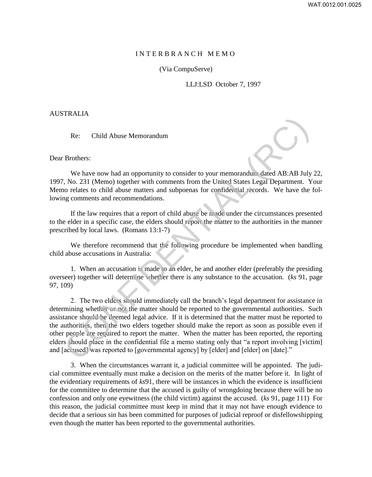## I N T E R B R A N C H M E M O

(Via CompuServe)

LLJ:LSD October 7, 1997

## AUSTRALIA

Re: Child Abuse Memorandum

Dear Brothers:

We have now had an opportunity to consider to your memorandum dated AB:AB July 22, 1997, No. 231 (Memo) together with comments from the United States Legal Department. Your Memo relates to child abuse matters and subpoenas for confidential records. We have the following comments and recommendations.

If the law requires that a report of child abuse be made under the circumstances presented to the elder in a specific case, the elders should report the matter to the authorities in the manner prescribed by local laws. (Romans 13:1-7)

We therefore recommend that the following procedure be implemented when handling child abuse accusations in Australia:

1. When an accusation is made to an elder, he and another elder (preferably the presiding overseer) together will determine whether there is any substance to the accusation. (*ks* 91, page 97, 109)

2. The two elders should immediately call the branch's legal department for assistance in determining whether or not the matter should be reported to the governmental authorities. Such assistance should be deemed legal advice. If it is determined that the matter must be reported to the authorities, then the two elders together should make the report as soon as possible even if other people are required to report the matter. When the matter has been reported, the reporting elders should place in the confidential file a memo stating only that "a report involving [victim] and [accused] was reported to [governmental agency] by [elder] and [elder] on [date]." Re: Child Abuse Memorandum<br>
Recise Child Abuse Memorandum<br>
Prothers:<br>
We have now had an opportunity to consider to your memorandum dated AB:AB July<br>
No. 231 (Memo) together with comments from the United States Legal Depa

3. When the circumstances warrant it, a judicial committee will be appointed. The judicial committee eventually must make a decision on the merits of the matter before it. In light of the evidentiary requirements of *ks*91, there will be instances in which the evidence is insufficient for the committee to determine that the accused is guilty of wrongdoing because there will be no confession and only one eyewitness (the child victim) against the accused. (*ks* 91, page 111) For this reason, the judicial committee must keep in mind that it may not have enough evidence to decide that a serious sin has been committed for purposes of judicial reproof or disfellowshipping even though the matter has been reported to the governmental authorities.